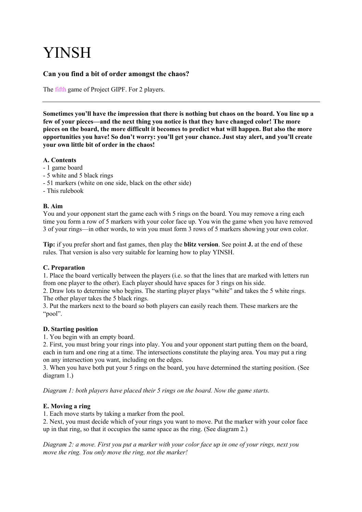# YINSH

# **Can you find a bit of order amongst the chaos?**

The fifth game of Project GIPF. For 2 players.

**Sometimes you'll have the impression that there is nothing but chaos on the board. You line up a few of your pieces—and the next thing you notice is that they have changed color! The more pieces on the board, the more difficult it becomes to predict what will happen. But also the more opportunities you have! So don't worry: you'll get your chance. Just stay alert, and you'll create your own little bit of order in the chaos!**

#### **A. Contents**

- 1 game board
- 5 white and 5 black rings
- 51 markers (white on one side, black on the other side)
- This rulebook

## **B. Aim**

You and your opponent start the game each with 5 rings on the board. You may remove a ring each time you form a row of 5 markers with your color face up. You win the game when you have removed 3 of your rings—in other words, to win you must form 3 rows of 5 markers showing your own color.

**Tip:** if you prefer short and fast games, then play the **blitz version**. See point **J.** at the end of these rules. That version is also very suitable for learning how to play YINSH.

#### **C. Preparation**

1. Place the board vertically between the players (i.e. so that the lines that are marked with letters run from one player to the other). Each player should have spaces for 3 rings on his side.

2. Draw lots to determine who begins. The starting player plays "white" and takes the 5 white rings. The other player takes the 5 black rings.

3. Put the markers next to the board so both players can easily reach them. These markers are the "pool".

#### **D. Starting position**

1. You begin with an empty board.

2. First, you must bring your rings into play. You and your opponent start putting them on the board, each in turn and one ring at a time. The intersections constitute the playing area. You may put a ring on any intersection you want, including on the edges.

3. When you have both put your 5 rings on the board, you have determined the starting position. (See diagram 1.)

*Diagram 1: both players have placed their 5 rings on the board. Now the game starts.*

#### **E. Moving a ring**

1. Each move starts by taking a marker from the pool.

2. Next, you must decide which of your rings you want to move. Put the marker with your color face up in that ring, so that it occupies the same space as the ring. (See diagram 2.)

*Diagram 2: a move. First you put a marker with your color face up in one of your rings, next you move the ring. You only move the ring, not the marker!*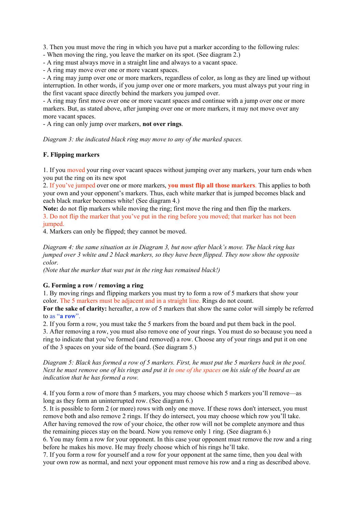3. Then you must move the ring in which you have put a marker according to the following rules:

- When moving the ring, you leave the marker on its spot. (See diagram 2.)

- A ring must always move in a straight line and always to a vacant space.

- A ring may move over one or more vacant spaces.

- A ring may jump over one or more markers, regardless of color, as long as they are lined up without interruption. In other words, if you jump over one or more markers, you must always put your ring in the first vacant space directly behind the markers you jumped over.

- A ring may first move over one or more vacant spaces and continue with a jump over one or more markers. But, as stated above, after jumping over one or more markers, it may not move over any more vacant spaces.

- A ring can only jump over markers, **not over rings**.

*Diagram 3: the indicated black ring may move to any of the marked spaces.*

#### **F. Flipping markers**

1. If you moved your ring over vacant spaces without jumping over any markers, your turn ends when you put the ring on its new spot

2. If you've jumped over one or more markers, **you must flip all those markers**. This applies to both your own and your opponent's markers. Thus, each white marker that is jumped becomes black and each black marker becomes white! (See diagram 4.)

**Note:** do not flip markers while moving the ring; first move the ring and then flip the markers. 3. Do not flip the marker that you've put in the ring before you moved; that marker has not been jumped.

4. Markers can only be flipped; they cannot be moved.

*Diagram 4: the same situation as in Diagram 3, but now after black's move. The black ring has jumped over 3 white and 2 black markers, so they have been flipped. They now show the opposite color.*

*(Note that the marker that was put in the ring has remained black!)*

#### **G. Forming a row / removing a ring**

1. By moving rings and flipping markers you must try to form a row of 5 markers that show your color. The 5 markers must be adjacent and in a straight line. Rings do not count.

**For the sake of clarity:** hereafter, a row of 5 markers that show the same color will simply be referred to as "**a row**".

2. If you form a row, you must take the 5 markers from the board and put them back in the pool.

3. After removing a row, you must also remove one of your rings. You must do so because you need a ring to indicate that you've formed (and removed) a row. Choose any of your rings and put it on one of the 3 spaces on your side of the board. (See diagram 5.)

*Diagram 5: Black has formed a row of 5 markers. First, he must put the 5 markers back in the pool. Next he must remove one of his rings and put it in one of the spaces on his side of the board as an indication that he has formed a row.*

4. If you form a row of more than 5 markers, you may choose which 5 markers you'll remove—as long as they form an uninterrupted row. (See diagram 6.)

5. It is possible to form 2 (or more) rows with only one move. If these rows don't intersect, you must remove both and also remove 2 rings. If they do intersect, you may choose which row you'll take. After having removed the row of your choice, the other row will not be complete anymore and thus the remaining pieces stay on the board. Now you remove only 1 ring. (See diagram 6.)

6. You may form a row for your opponent. In this case your opponent must remove the row and a ring before he makes his move. He may freely choose which of his rings he'll take.

7. If you form a row for yourself and a row for your opponent at the same time, then you deal with your own row as normal, and next your opponent must remove his row and a ring as described above.